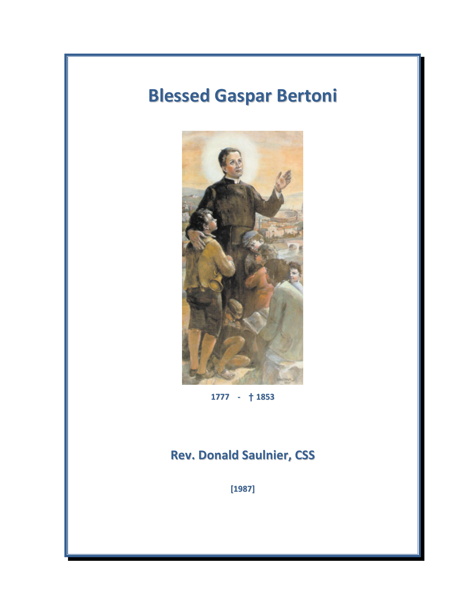# Blessed Gaspar Bertoni



1777 - **†** 1853

## Rev. Donald Saulnier, CSS

[1987]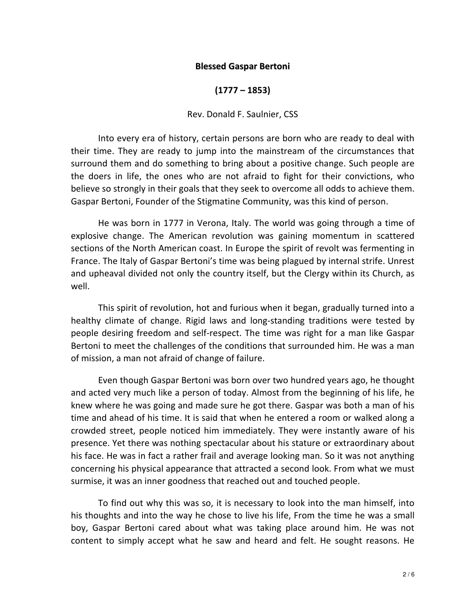#### Blessed Gaspar Bertoni

(1777 – 1853)

#### Rev. Donald F. Saulnier, CSS

Into every era of history, certain persons are born who are ready to deal with their time. They are ready to jump into the mainstream of the circumstances that surround them and do something to bring about a positive change. Such people are the doers in life, the ones who are not afraid to fight for their convictions, who believe so strongly in their goals that they seek to overcome all odds to achieve them. Gaspar Bertoni, Founder of the Stigmatine Community, was this kind of person.

 He was born in 1777 in Verona, Italy. The world was going through a time of explosive change. The American revolution was gaining momentum in scattered sections of the North American coast. In Europe the spirit of revolt was fermenting in France. The Italy of Gaspar Bertoni's time was being plagued by internal strife. Unrest and upheaval divided not only the country itself, but the Clergy within its Church, as well.

This spirit of revolution, hot and furious when it began, gradually turned into a healthy climate of change. Rigid laws and long-standing traditions were tested by people desiring freedom and self-respect. The time was right for a man like Gaspar Bertoni to meet the challenges of the conditions that surrounded him. He was a man of mission, a man not afraid of change of failure.

 Even though Gaspar Bertoni was born over two hundred years ago, he thought and acted very much like a person of today. Almost from the beginning of his life, he knew where he was going and made sure he got there. Gaspar was both a man of his time and ahead of his time. It is said that when he entered a room or walked along a crowded street, people noticed him immediately. They were instantly aware of his presence. Yet there was nothing spectacular about his stature or extraordinary about his face. He was in fact a rather frail and average looking man. So it was not anything concerning his physical appearance that attracted a second look. From what we must surmise, it was an inner goodness that reached out and touched people.

To find out why this was so, it is necessary to look into the man himself, into his thoughts and into the way he chose to live his life, From the time he was a small boy, Gaspar Bertoni cared about what was taking place around him. He was not content to simply accept what he saw and heard and felt. He sought reasons. He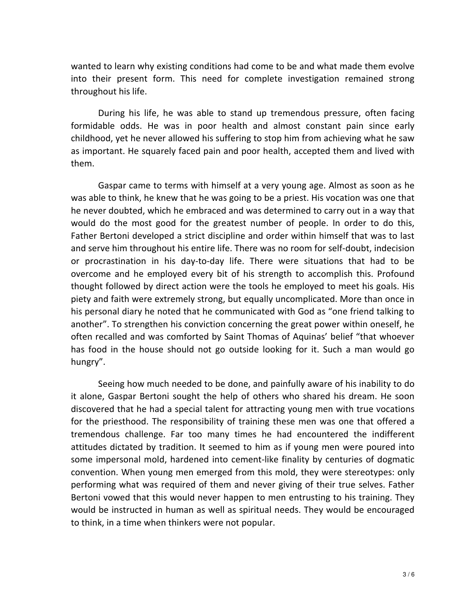wanted to learn why existing conditions had come to be and what made them evolve into their present form. This need for complete investigation remained strong throughout his life.

During his life, he was able to stand up tremendous pressure, often facing formidable odds. He was in poor health and almost constant pain since early childhood, yet he never allowed his suffering to stop him from achieving what he saw as important. He squarely faced pain and poor health, accepted them and lived with them.

Gaspar came to terms with himself at a very young age. Almost as soon as he was able to think, he knew that he was going to be a priest. His vocation was one that he never doubted, which he embraced and was determined to carry out in a way that would do the most good for the greatest number of people. In order to do this, Father Bertoni developed a strict discipline and order within himself that was to last and serve him throughout his entire life. There was no room for self-doubt, indecision or procrastination in his day-to-day life. There were situations that had to be overcome and he employed every bit of his strength to accomplish this. Profound thought followed by direct action were the tools he employed to meet his goals. His piety and faith were extremely strong, but equally uncomplicated. More than once in his personal diary he noted that he communicated with God as "one friend talking to another". To strengthen his conviction concerning the great power within oneself, he often recalled and was comforted by Saint Thomas of Aquinas' belief "that whoever has food in the house should not go outside looking for it. Such a man would go hungry".

Seeing how much needed to be done, and painfully aware of his inability to do it alone, Gaspar Bertoni sought the help of others who shared his dream. He soon discovered that he had a special talent for attracting young men with true vocations for the priesthood. The responsibility of training these men was one that offered a tremendous challenge. Far too many times he had encountered the indifferent attitudes dictated by tradition. It seemed to him as if young men were poured into some impersonal mold, hardened into cement-like finality by centuries of dogmatic convention. When young men emerged from this mold, they were stereotypes: only performing what was required of them and never giving of their true selves. Father Bertoni vowed that this would never happen to men entrusting to his training. They would be instructed in human as well as spiritual needs. They would be encouraged to think, in a time when thinkers were not popular.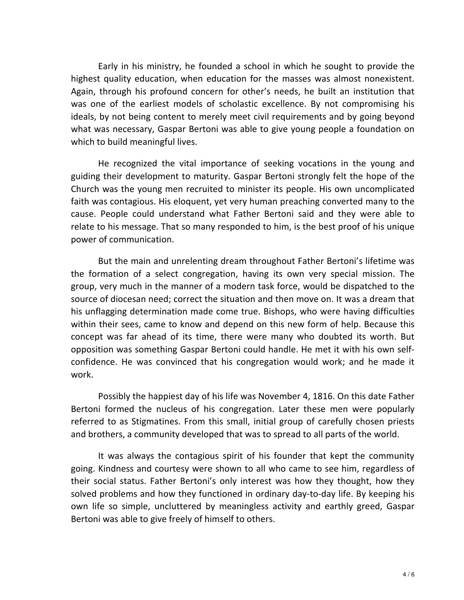Early in his ministry, he founded a school in which he sought to provide the highest quality education, when education for the masses was almost nonexistent. Again, through his profound concern for other's needs, he built an institution that was one of the earliest models of scholastic excellence. By not compromising his ideals, by not being content to merely meet civil requirements and by going beyond what was necessary, Gaspar Bertoni was able to give young people a foundation on which to build meaningful lives.

He recognized the vital importance of seeking vocations in the young and guiding their development to maturity. Gaspar Bertoni strongly felt the hope of the Church was the young men recruited to minister its people. His own uncomplicated faith was contagious. His eloquent, yet very human preaching converted many to the cause. People could understand what Father Bertoni said and they were able to relate to his message. That so many responded to him, is the best proof of his unique power of communication.

But the main and unrelenting dream throughout Father Bertoni's lifetime was the formation of a select congregation, having its own very special mission. The group, very much in the manner of a modern task force, would be dispatched to the source of diocesan need; correct the situation and then move on. It was a dream that his unflagging determination made come true. Bishops, who were having difficulties within their sees, came to know and depend on this new form of help. Because this concept was far ahead of its time, there were many who doubted its worth. But opposition was something Gaspar Bertoni could handle. He met it with his own selfconfidence. He was convinced that his congregation would work; and he made it work.

Possibly the happiest day of his life was November 4, 1816. On this date Father Bertoni formed the nucleus of his congregation. Later these men were popularly referred to as Stigmatines. From this small, initial group of carefully chosen priests and brothers, a community developed that was to spread to all parts of the world.

It was always the contagious spirit of his founder that kept the community going. Kindness and courtesy were shown to all who came to see him, regardless of their social status. Father Bertoni's only interest was how they thought, how they solved problems and how they functioned in ordinary day-to-day life. By keeping his own life so simple, uncluttered by meaningless activity and earthly greed, Gaspar Bertoni was able to give freely of himself to others.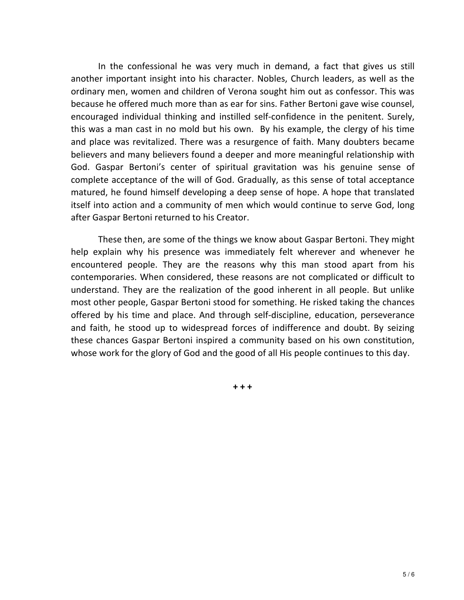In the confessional he was very much in demand, a fact that gives us still another important insight into his character. Nobles, Church leaders, as well as the ordinary men, women and children of Verona sought him out as confessor. This was because he offered much more than as ear for sins. Father Bertoni gave wise counsel, encouraged individual thinking and instilled self-confidence in the penitent. Surely, this was a man cast in no mold but his own. By his example, the clergy of his time and place was revitalized. There was a resurgence of faith. Many doubters became believers and many believers found a deeper and more meaningful relationship with God. Gaspar Bertoni's center of spiritual gravitation was his genuine sense of complete acceptance of the will of God. Gradually, as this sense of total acceptance matured, he found himself developing a deep sense of hope. A hope that translated itself into action and a community of men which would continue to serve God, long after Gaspar Bertoni returned to his Creator.

These then, are some of the things we know about Gaspar Bertoni. They might help explain why his presence was immediately felt wherever and whenever he encountered people. They are the reasons why this man stood apart from his contemporaries. When considered, these reasons are not complicated or difficult to understand. They are the realization of the good inherent in all people. But unlike most other people, Gaspar Bertoni stood for something. He risked taking the chances offered by his time and place. And through self-discipline, education, perseverance and faith, he stood up to widespread forces of indifference and doubt. By seizing these chances Gaspar Bertoni inspired a community based on his own constitution, whose work for the glory of God and the good of all His people continues to this day.

+ + +